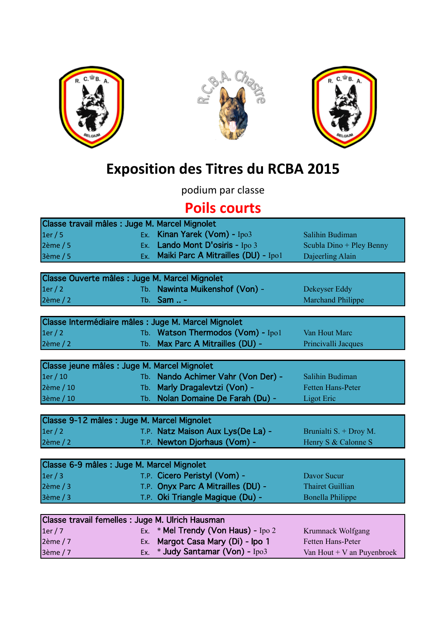





## **Exposition des Titres du RCBA 2015**

podium par classe

## **Poils courts**

| Classe travail mâles : Juge M. Marcel Mignolet       |     |                                     |                            |  |  |
|------------------------------------------------------|-----|-------------------------------------|----------------------------|--|--|
| 1er/5                                                |     | Ex. Kinan Yarek (Vom) - Ipo3        | Salihin Budiman            |  |  |
| $2\text{ème} / 5$                                    | Ex. | Lando Mont D'osiris - Ipo 3         | Scubla Dino + Pley Benny   |  |  |
| 3ème / 5                                             | Ex. | Maiki Parc A Mitrailles (DU) - Ipo1 | Dajeerling Alain           |  |  |
|                                                      |     |                                     |                            |  |  |
| Classe Ouverte mâles : Juge M. Marcel Mignolet       |     |                                     |                            |  |  |
| 1er/2                                                |     | Tb. Nawinta Muikenshof (Von) -      | Dekeyser Eddy              |  |  |
| $2\text{ème}/2$                                      |     | Tb. $Sam$                           | <b>Marchand Philippe</b>   |  |  |
|                                                      |     |                                     |                            |  |  |
| Classe Intermédiaire mâles : Juge M. Marcel Mignolet |     |                                     |                            |  |  |
| 1er/2                                                |     | Tb. Watson Thermodos (Vom) - Ipo1   | Van Hout Marc              |  |  |
| $2\text{ème}/2$                                      |     | Tb. Max Parc A Mitrailles (DU) -    | Princivalli Jacques        |  |  |
|                                                      |     |                                     |                            |  |  |
| Classe jeune mâles : Juge M. Marcel Mignolet         |     |                                     |                            |  |  |
| 1er/10                                               |     | Tb. Nando Achimer Vahr (Von Der) -  | Salihin Budiman            |  |  |
| 2ème / 10                                            |     | Tb. Marly Dragalevtzi (Von) -       | Fetten Hans-Peter          |  |  |
| 3ème / 10                                            |     | Tb. Nolan Domaine De Farah (Du) -   | <b>Ligot Eric</b>          |  |  |
|                                                      |     |                                     |                            |  |  |
| Classe 9-12 mâles : Juge M. Marcel Mignolet          |     |                                     |                            |  |  |
| 1er/2                                                |     | T.P. Natz Maison Aux Lys(De La) -   | Brunialti S. + Droy M.     |  |  |
| 2ème / 2                                             |     | T.P. Newton Djorhaus (Vom) -        | Henry S & Calonne S        |  |  |
|                                                      |     |                                     |                            |  |  |
| Classe 6-9 mâles : Juge M. Marcel Mignolet           |     |                                     |                            |  |  |
| 1er/3                                                |     | T.P. Cicero Peristyl (Vom) -        | <b>Davor Sucur</b>         |  |  |
| $2\text{ème}/3$                                      |     | T.P. Onyx Parc A Mitrailles (DU) -  | <b>Thairet Guillian</b>    |  |  |
| 3ème / 3                                             |     | T.P. Oki Triangle Magique (Du) -    | <b>Bonella Philippe</b>    |  |  |
|                                                      |     |                                     |                            |  |  |
| Classe travail femelles : Juge M. Ulrich Hausman     |     |                                     |                            |  |  |
| 1er/7                                                | Ex. | * Mel Trendy (Von Haus) - Ipo 2     | Krumnack Wolfgang          |  |  |
| 2ème / 7                                             | Ex. | Margot Casa Mary (Di) - Ipo 1       | <b>Fetten Hans-Peter</b>   |  |  |
| 3ème / 7                                             | Ex. | * Judy Santamar (Von) - Ipo3        | Van Hout + V an Puyenbroek |  |  |